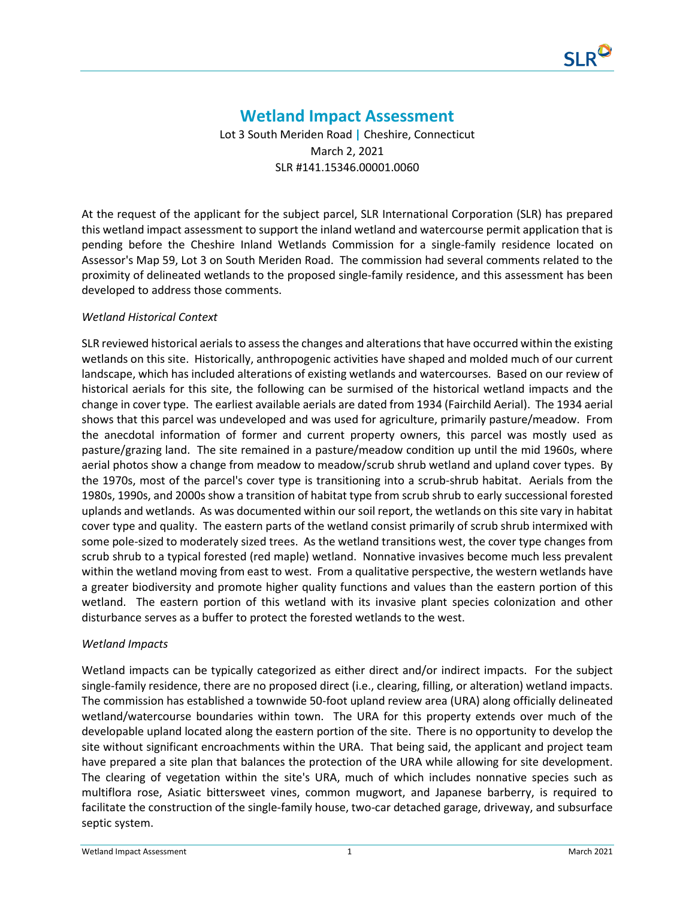

## **Wetland Impact Assessment**

Lot 3 South Meriden Road **|** Cheshire, Connecticut March 2, 2021 SLR #141.15346.00001.0060

At the request of the applicant for the subject parcel, SLR International Corporation (SLR) has prepared this wetland impact assessment to support the inland wetland and watercourse permit application that is pending before the Cheshire Inland Wetlands Commission for a single-family residence located on Assessor's Map 59, Lot 3 on South Meriden Road. The commission had several comments related to the proximity of delineated wetlands to the proposed single-family residence, and this assessment has been developed to address those comments.

## *Wetland Historical Context*

SLR reviewed historical aerials to assess the changes and alterations that have occurred within the existing wetlands on this site. Historically, anthropogenic activities have shaped and molded much of our current landscape, which has included alterations of existing wetlands and watercourses. Based on our review of historical aerials for this site, the following can be surmised of the historical wetland impacts and the change in cover type. The earliest available aerials are dated from 1934 (Fairchild Aerial). The 1934 aerial shows that this parcel was undeveloped and was used for agriculture, primarily pasture/meadow. From the anecdotal information of former and current property owners, this parcel was mostly used as pasture/grazing land. The site remained in a pasture/meadow condition up until the mid 1960s, where aerial photos show a change from meadow to meadow/scrub shrub wetland and upland cover types. By the 1970s, most of the parcel's cover type is transitioning into a scrub-shrub habitat. Aerials from the 1980s, 1990s, and 2000s show a transition of habitat type from scrub shrub to early successional forested uplands and wetlands. As was documented within our soil report, the wetlands on this site vary in habitat cover type and quality. The eastern parts of the wetland consist primarily of scrub shrub intermixed with some pole-sized to moderately sized trees. As the wetland transitions west, the cover type changes from scrub shrub to a typical forested (red maple) wetland. Nonnative invasives become much less prevalent within the wetland moving from east to west. From a qualitative perspective, the western wetlands have a greater biodiversity and promote higher quality functions and values than the eastern portion of this wetland. The eastern portion of this wetland with its invasive plant species colonization and other disturbance serves as a buffer to protect the forested wetlands to the west.

## *Wetland Impacts*

Wetland impacts can be typically categorized as either direct and/or indirect impacts. For the subject single-family residence, there are no proposed direct (i.e., clearing, filling, or alteration) wetland impacts. The commission has established a townwide 50-foot upland review area (URA) along officially delineated wetland/watercourse boundaries within town. The URA for this property extends over much of the developable upland located along the eastern portion of the site. There is no opportunity to develop the site without significant encroachments within the URA. That being said, the applicant and project team have prepared a site plan that balances the protection of the URA while allowing for site development. The clearing of vegetation within the site's URA, much of which includes nonnative species such as multiflora rose, Asiatic bittersweet vines, common mugwort, and Japanese barberry, is required to facilitate the construction of the single-family house, two-car detached garage, driveway, and subsurface septic system.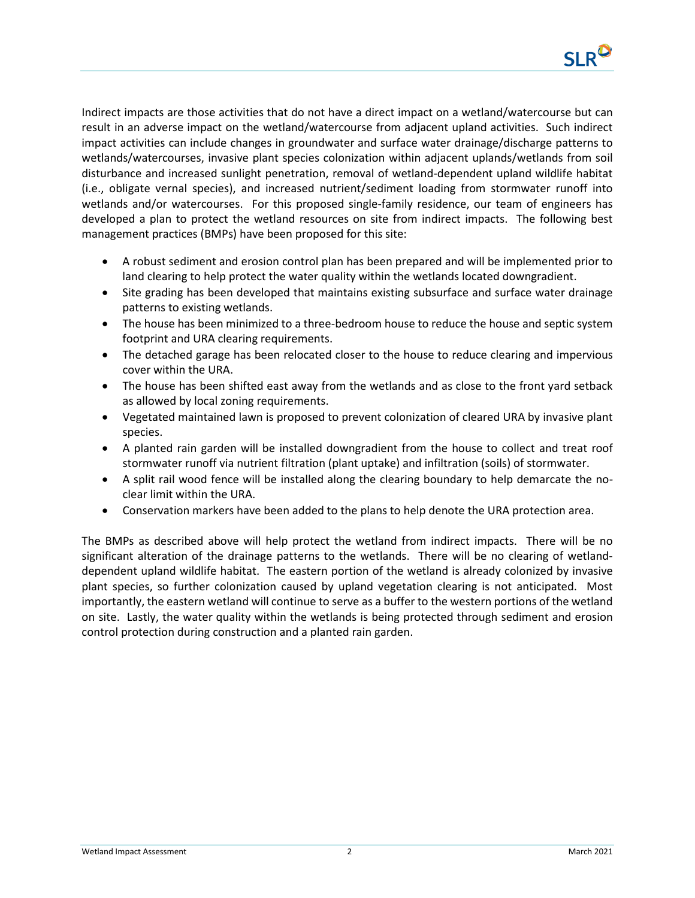

Indirect impacts are those activities that do not have a direct impact on a wetland/watercourse but can result in an adverse impact on the wetland/watercourse from adjacent upland activities. Such indirect impact activities can include changes in groundwater and surface water drainage/discharge patterns to wetlands/watercourses, invasive plant species colonization within adjacent uplands/wetlands from soil disturbance and increased sunlight penetration, removal of wetland-dependent upland wildlife habitat (i.e., obligate vernal species), and increased nutrient/sediment loading from stormwater runoff into wetlands and/or watercourses. For this proposed single-family residence, our team of engineers has developed a plan to protect the wetland resources on site from indirect impacts. The following best management practices (BMPs) have been proposed for this site:

- A robust sediment and erosion control plan has been prepared and will be implemented prior to land clearing to help protect the water quality within the wetlands located downgradient.
- Site grading has been developed that maintains existing subsurface and surface water drainage patterns to existing wetlands.
- The house has been minimized to a three-bedroom house to reduce the house and septic system footprint and URA clearing requirements.
- The detached garage has been relocated closer to the house to reduce clearing and impervious cover within the URA.
- The house has been shifted east away from the wetlands and as close to the front yard setback as allowed by local zoning requirements.
- Vegetated maintained lawn is proposed to prevent colonization of cleared URA by invasive plant species.
- A planted rain garden will be installed downgradient from the house to collect and treat roof stormwater runoff via nutrient filtration (plant uptake) and infiltration (soils) of stormwater.
- A split rail wood fence will be installed along the clearing boundary to help demarcate the noclear limit within the URA.
- Conservation markers have been added to the plans to help denote the URA protection area.

The BMPs as described above will help protect the wetland from indirect impacts. There will be no significant alteration of the drainage patterns to the wetlands. There will be no clearing of wetlanddependent upland wildlife habitat. The eastern portion of the wetland is already colonized by invasive plant species, so further colonization caused by upland vegetation clearing is not anticipated. Most importantly, the eastern wetland will continue to serve as a buffer to the western portions of the wetland on site. Lastly, the water quality within the wetlands is being protected through sediment and erosion control protection during construction and a planted rain garden.